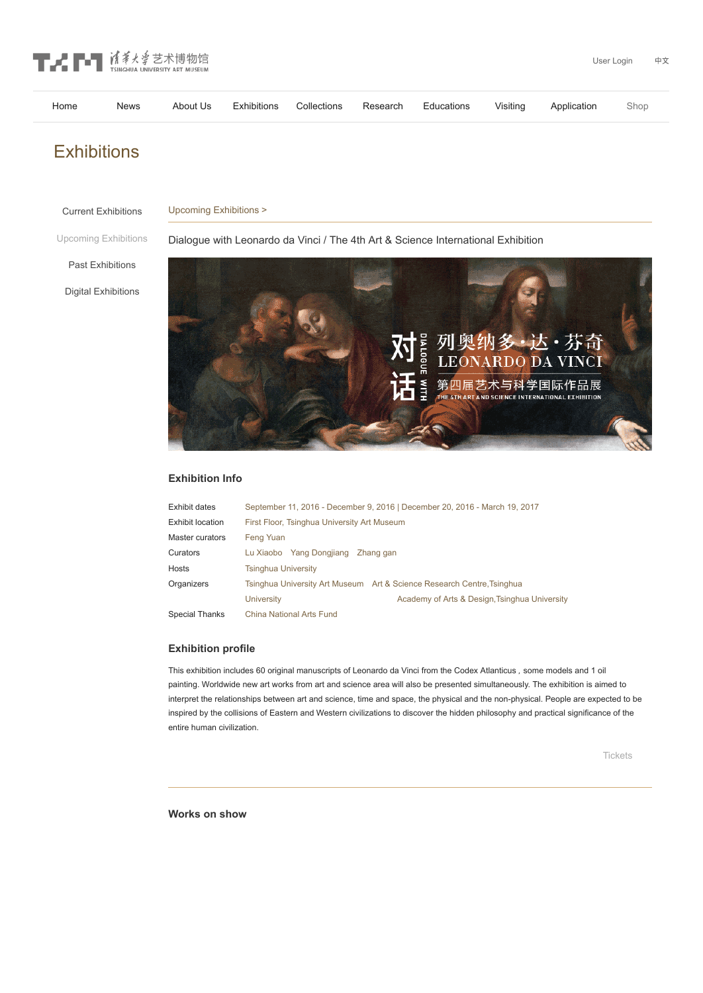

| Home |  |  |  | News About Us Exhibitions Collections Research Educations Visiting Application Shop |  |
|------|--|--|--|-------------------------------------------------------------------------------------|--|
|      |  |  |  |                                                                                     |  |

# **Exhibitions**

#### Upcoming Exhibitions > Current [Exhibitions](http://www.artmuseum.tsinghua.edu.cn/en/cpsj_english/zlxx/zzzl/)

#### Upcoming [Exhibitions](http://www.artmuseum.tsinghua.edu.cn/en/cpsj_english/zlxx/zlyg/)

Dialogue with Leonardo da Vinci / The 4th Art & Science International Exhibition

Past [Exhibitions](http://www.artmuseum.tsinghua.edu.cn/en/cpsj_english/zlxx/zlhg/)

Digital [Exhibitions](http://www.artmuseum.tsinghua.edu.cn/en/cpsj_english/zlxx/szzt/)



## **Exhibition Info**

| Exhibit dates           | September 11, 2016 - December 9, 2016   December 20, 2016 - March 19, 2017 |  |  |  |  |  |
|-------------------------|----------------------------------------------------------------------------|--|--|--|--|--|
| <b>Exhibit location</b> | First Floor, Tsinghua University Art Museum                                |  |  |  |  |  |
| Master curators         | Feng Yuan                                                                  |  |  |  |  |  |
| Curators                | Lu Xiaobo Yang Dongjiang Zhang gan                                         |  |  |  |  |  |
| <b>Hosts</b>            | <b>Tsinghua University</b>                                                 |  |  |  |  |  |
| Organizers              | Tsinghua University Art Museum Art & Science Research Centre, Tsinghua     |  |  |  |  |  |
|                         | Academy of Arts & Design, Tsinghua University<br><b>University</b>         |  |  |  |  |  |
| Special Thanks          | China National Arts Fund                                                   |  |  |  |  |  |
|                         |                                                                            |  |  |  |  |  |

### **Exhibition profile**

This exhibition includes 60 original manuscripts of Leonardo da Vinci from the Codex Atlanticus, some models and 1 oil painting. Worldwide new art works from art and science area will also be presented simultaneously. The exhibition is aimed to interpret the relationships between art and science, time and space, the physical and the non-physical. People are expected to be inspired by the collisions of Eastern and Western civilizations to discover the hidden philosophy and practical significance of the entire human civilization.

**Works on show**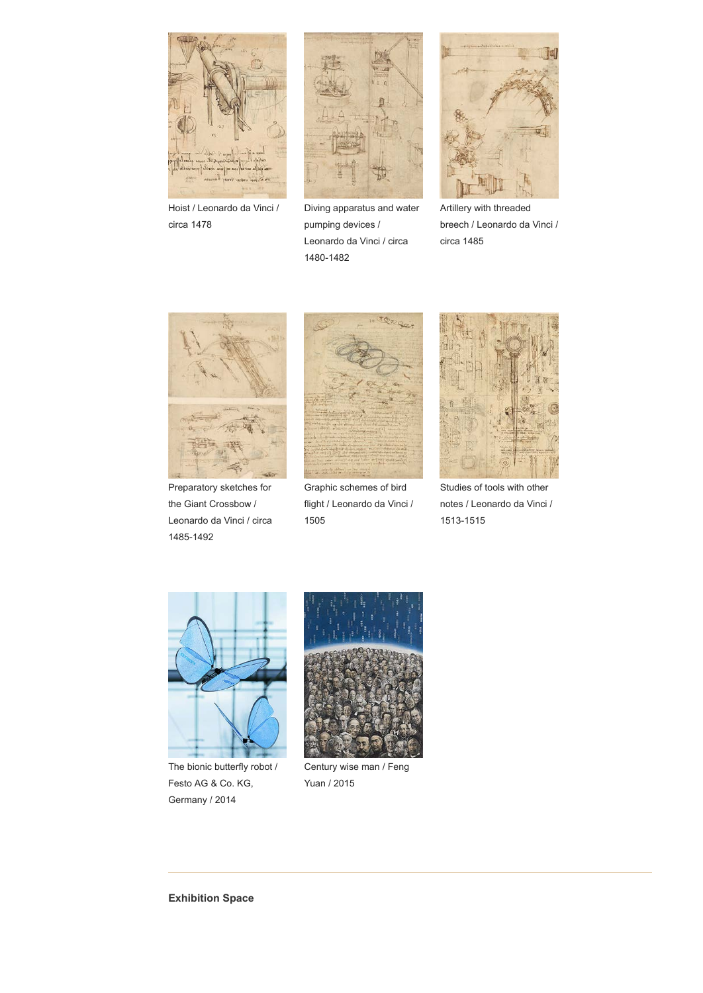

Hoist / Leonardo da Vinci / circa 1478



Diving apparatus and water pumping devices / Leonardo da Vinci / circa 1480-1482



Artillery with threaded breech / Leonardo da Vinci / circa 1485



Preparatory sketches for the Giant Crossbow / Leonardo da Vinci / circa 1485-1492



Graphic schemes of bird flight / Leonardo da Vinci / 1505



Studies of tools with other notes / Leonardo da Vinci / 1513-1515



The bionic butterfly robot / Festo AG & Co. KG, Germany / 2014



Century wise man / Feng Yuan / 2015

**Exhibition Space**